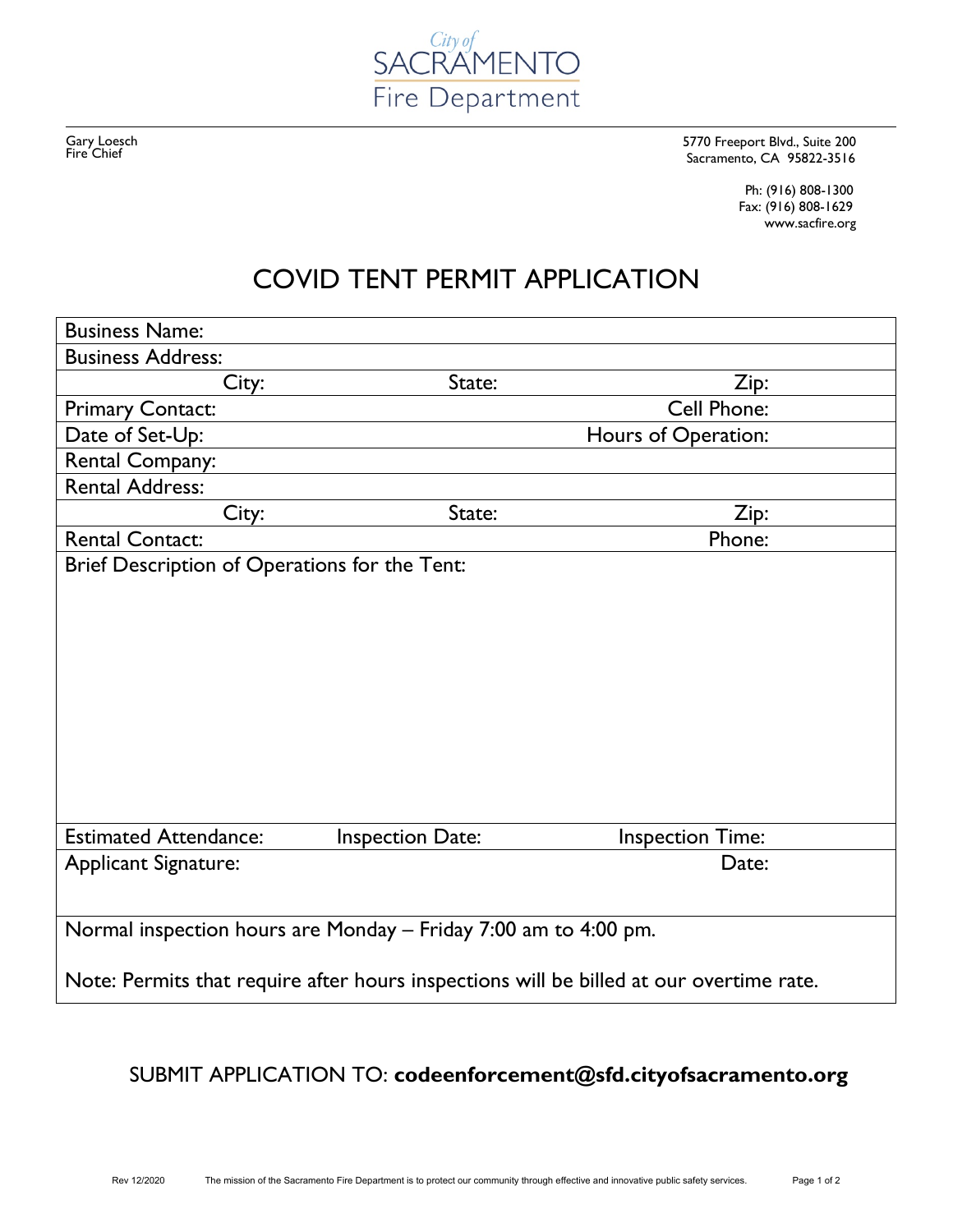

Gary Loesch Fire Chief

 5770 Freeport Blvd., Suite 200 Sacramento, CA 95822-3516

> Ph: (916) 808-1300 Fax: (916) 808-1629 www.sacfire.org

## COVID TENT PERMIT APPLICATION

| <b>Business Name:</b>                                                                   |                         |                         |  |
|-----------------------------------------------------------------------------------------|-------------------------|-------------------------|--|
| <b>Business Address:</b>                                                                |                         |                         |  |
| City:                                                                                   | State:                  | Zip:                    |  |
| <b>Primary Contact:</b>                                                                 |                         | <b>Cell Phone:</b>      |  |
| Date of Set-Up:                                                                         |                         | Hours of Operation:     |  |
| <b>Rental Company:</b>                                                                  |                         |                         |  |
| <b>Rental Address:</b>                                                                  |                         |                         |  |
| City:                                                                                   | State:                  | Zip:                    |  |
| <b>Rental Contact:</b>                                                                  |                         | Phone:                  |  |
| Brief Description of Operations for the Tent:                                           |                         |                         |  |
|                                                                                         |                         |                         |  |
|                                                                                         |                         |                         |  |
|                                                                                         |                         |                         |  |
|                                                                                         |                         |                         |  |
|                                                                                         |                         |                         |  |
|                                                                                         |                         |                         |  |
|                                                                                         |                         |                         |  |
|                                                                                         |                         |                         |  |
|                                                                                         |                         |                         |  |
|                                                                                         |                         |                         |  |
| <b>Estimated Attendance:</b>                                                            | <b>Inspection Date:</b> | <b>Inspection Time:</b> |  |
| <b>Applicant Signature:</b>                                                             |                         | Date:                   |  |
|                                                                                         |                         |                         |  |
| Normal inspection hours are Monday – Friday 7:00 am to 4:00 pm.                         |                         |                         |  |
|                                                                                         |                         |                         |  |
| Note: Permits that require after hours inspections will be billed at our overtime rate. |                         |                         |  |
|                                                                                         |                         |                         |  |

## SUBMIT APPLICATION TO: **codeenforcement@sfd.cityofsacramento.org**